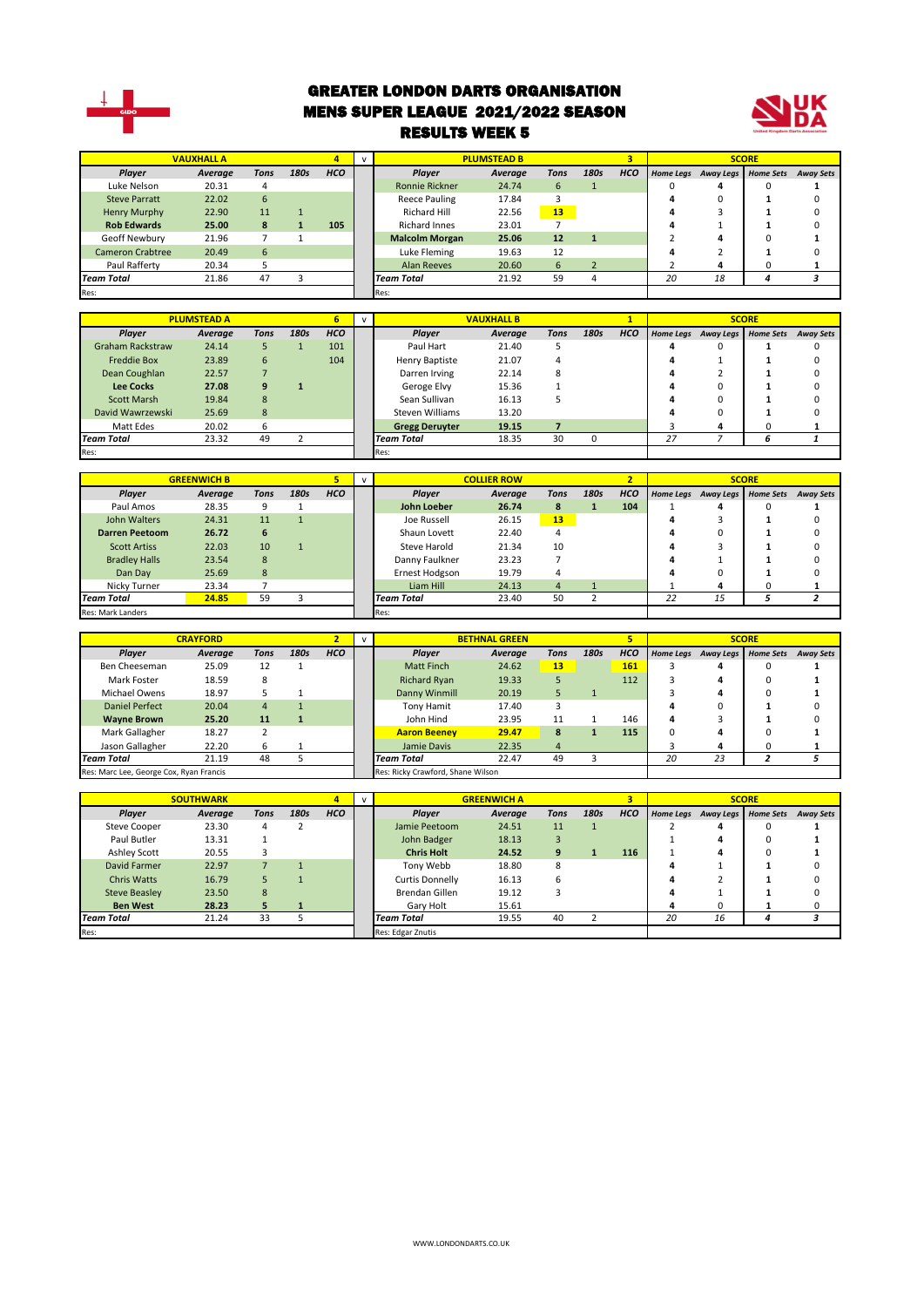

#### GREATER LONDON DARTS ORGANISATION MENS SUPER LEAGUE 2021/2022 SEASON RESULTS WEEK 5



|                         | <b>VAUXHALL A</b> |      |      |            | $\mathbf{v}$ |                       | <b>PLUMSTEAD B</b> |             |      | ۰          |                  |           | <b>SCORE</b> |                  |
|-------------------------|-------------------|------|------|------------|--------------|-----------------------|--------------------|-------------|------|------------|------------------|-----------|--------------|------------------|
| Player                  | Average           | Tons | 180s | <b>HCO</b> |              | Plaver                | Average            | <b>Tons</b> | 180s | <b>HCO</b> | <b>Home Legs</b> | Away Legs | Home Sets    | <b>Away Sets</b> |
| Luke Nelson             | 20.31             | 4    |      |            |              | <b>Ronnie Rickner</b> | 24.74              | 6           |      |            |                  |           |              |                  |
| <b>Steve Parratt</b>    | 22.02             | 6    |      |            |              | Reece Pauling         | 17.84              |             |      |            |                  |           |              |                  |
| Henry Murphy            | 22.90             | 11   |      |            |              | <b>Richard Hill</b>   | 22.56              | 13          |      |            |                  |           |              |                  |
| <b>Rob Edwards</b>      | 25.00             | 8    |      | 105        |              | <b>Richard Innes</b>  | 23.01              |             |      |            |                  |           |              |                  |
| Geoff Newbury           | 21.96             |      |      |            |              | <b>Malcolm Morgan</b> | 25.06              | 12          |      |            |                  |           |              |                  |
| <b>Cameron Crabtree</b> | 20.49             | 6    |      |            |              | Luke Fleming          | 19.63              | 12          |      |            |                  |           |              |                  |
| Paul Rafferty           | 20.34             |      |      |            |              | <b>Alan Reeves</b>    | 20.60              | 6           |      |            |                  |           |              |                  |
| <b>Team Total</b>       | 21.86             | 47   |      |            |              | <b>Team Total</b>     | 21.92              | 59          | 4    |            | 20               | 18        |              |                  |
| Res:                    |                   |      |      |            |              | Res:                  |                    |             |      |            |                  |           |              |                  |

|                         | <b>PLUMSTEAD A</b> |      |      |            | $\mathbf{v}$ |                       | <b>VAUXHALL B</b> |      |      |            |                  |          | <b>SCORE</b>        |                  |
|-------------------------|--------------------|------|------|------------|--------------|-----------------------|-------------------|------|------|------------|------------------|----------|---------------------|------------------|
|                         |                    |      |      |            |              |                       |                   |      |      |            |                  |          |                     |                  |
| Player                  | Average            | Tons | 180s | <b>HCO</b> |              | Player                | Average           | Tons | 180s | <b>HCO</b> | <b>Home Legs</b> |          | Away Legs Home Sets | <b>Away Sets</b> |
| <b>Graham Rackstraw</b> | 24.14              |      |      | 101        |              | Paul Hart             | 21.40             |      |      |            | 4                |          |                     |                  |
| <b>Freddie Box</b>      | 23.89              | 6    |      | 104        |              | Henry Baptiste        | 21.07             | 4    |      |            | 4                |          |                     | n                |
| Dean Coughlan           | 22.57              |      |      |            |              | Darren Irving         | 22.14             | 8    |      |            | 4                |          |                     |                  |
| <b>Lee Cocks</b>        | 27.08              | 9    |      |            |              | Geroge Elvy           | 15.36             |      |      |            | 4                |          |                     |                  |
| Scott Marsh             | 19.84              | 8    |      |            |              | Sean Sullivan         | 16.13             |      |      |            | 4                |          |                     |                  |
| David Wawrzewski        | 25.69              | 8    |      |            |              | Steven Williams       | 13.20             |      |      |            | 4                | $\Omega$ |                     |                  |
| Matt Edes               | 20.02              | 6    |      |            |              | <b>Gregg Deruyter</b> | 19.15             |      |      |            |                  | 4        | 0                   |                  |
| <b>Team Total</b>       | 23.32              | 49   |      |            |              | <b>Team Total</b>     | 18.35             | 30   |      |            | 27               |          |                     |                  |
| Res:                    |                    |      |      |            |              | Res:                  |                   |      |      |            |                  |          |                     |                  |

|                       | <b>GREENWICH B</b> |      |      |            | $\mathbf{v}$ |                   | <b>COLLIER ROW</b> |      |      |            |    |                               | <b>SCORE</b> |                  |
|-----------------------|--------------------|------|------|------------|--------------|-------------------|--------------------|------|------|------------|----|-------------------------------|--------------|------------------|
| Player                | Average            | Tons | 180s | <b>HCO</b> |              | Player            | Average            | Tons | 180s | <b>HCO</b> |    | Home Legs Away Legs Home Sets |              | <b>Away Sets</b> |
| Paul Amos             | 28.35              | 9    |      |            |              | John Loeber       | 26.74              | 8    |      | 104        |    | 4                             |              |                  |
| John Walters          | 24.31              | 11   |      |            |              | Joe Russell       | 26.15              | 13   |      |            |    |                               |              |                  |
| <b>Darren Peetoom</b> | 26.72              | 6    |      |            |              | Shaun Lovett      | 22.40              |      |      |            |    | 0                             |              |                  |
| <b>Scott Artiss</b>   | 22.03              | 10   |      |            |              | Steve Harold      | 21.34              | 10   |      |            |    |                               |              |                  |
| <b>Bradley Halls</b>  | 23.54              | 8    |      |            |              | Danny Faulkner    | 23.23              |      |      |            |    |                               |              |                  |
| Dan Day               | 25.69              | 8    |      |            |              | Ernest Hodgson    | 19.79              | 4    |      |            |    | ŋ                             |              |                  |
| Nicky Turner          | 23.34              |      |      |            |              | Liam Hill         | 24.13              | 4    |      |            |    | 4                             |              |                  |
| <b>Team Total</b>     | 24.85              | 59   |      |            |              | <b>Team Total</b> | 23.40              | 50   |      |            | 22 | 15                            |              |                  |
| Res: Mark Landers     |                    |      |      |            |              | Res:              |                    |      |      |            |    |                               |              |                  |

|                                         | <b>CRAYFORD</b> |                |      |                                   |  |                                  | <b>BETHNAL GREEN</b> |      |      |            |                  |           | <b>SCORE</b>     |                  |
|-----------------------------------------|-----------------|----------------|------|-----------------------------------|--|----------------------------------|----------------------|------|------|------------|------------------|-----------|------------------|------------------|
| <b>Player</b>                           | Average         | Tons           | 180s | <b>HCO</b>                        |  | Plaver                           | Average              | Tons | 180s | <b>HCO</b> | <b>Home Legs</b> | Away Legs | <b>Home Sets</b> | <b>Away Sets</b> |
| Ben Cheeseman                           | 25.09           | 12             |      |                                   |  | Matt Finch                       | 24.62                | 13   |      | 161        |                  |           |                  |                  |
| Mark Foster                             | 18.59           | 8              |      |                                   |  | <b>Richard Ryan</b>              | 19.33                |      |      | 112        |                  | 4         | 0                |                  |
| Michael Owens                           | 18.97           |                |      |                                   |  | Danny Winmill                    | 20.19                |      |      |            |                  |           |                  |                  |
| Daniel Perfect                          | 20.04           | $\overline{4}$ |      |                                   |  | Tony Hamit                       | 17.40                |      |      |            |                  |           |                  |                  |
| <b>Wayne Brown</b>                      | 25.20           | 11             |      |                                   |  | John Hind                        | 23.95                | 11   |      | 146        | 4                |           |                  |                  |
| Mark Gallagher                          | 18.27           |                |      |                                   |  | <b>Aaron Beenev</b>              | 29.47                | 8    |      | 115        | 0                |           |                  |                  |
| Jason Gallagher                         | 22.20           | 6              |      |                                   |  | Jamie Davis                      | 22.35                | 4    |      |            |                  |           |                  |                  |
| <b>Team Total</b>                       | 21.19           | 48             |      |                                   |  | 22.47<br>49<br><b>Team Total</b> |                      |      |      | 20         | 23               |           |                  |                  |
| Res: Marc Lee, George Cox, Ryan Francis |                 |                |      | Res: Ricky Crawford, Shane Wilson |  |                                  |                      |      |      |            |                  |           |                  |                  |

|                      | <b>SOUTHWARK</b> |      |      | 4          |                                  | <b>GREENWICH A</b> |             |      |            |    |                     | <b>SCORE</b>     |                  |
|----------------------|------------------|------|------|------------|----------------------------------|--------------------|-------------|------|------------|----|---------------------|------------------|------------------|
| Player               | Average          | Tons | 180s | <b>HCO</b> | <b>Plaver</b>                    | Average            | <b>Tons</b> | 180s | <b>HCO</b> |    | Home Legs Away Legs | <b>Home Sets</b> | <b>Away Sets</b> |
| <b>Steve Cooper</b>  | 23.30            | 4    |      |            | Jamie Peetoom                    | 24.51              | 11          |      |            |    |                     |                  |                  |
| Paul Butler          | 13.31            |      |      |            | John Badger<br>18.13             |                    |             |      |            | Δ  |                     |                  |                  |
| Ashley Scott         | 20.55            |      |      |            | <b>Chris Holt</b><br>24.52<br>9  |                    |             | 116  |            | д  |                     |                  |                  |
| David Farmer         | 22.97            |      |      |            | Tony Webb                        | 18.80              | 8           |      |            |    |                     |                  |                  |
| <b>Chris Watts</b>   | 16.79            |      |      |            | Curtis Donnelly                  | 16.13              | h           |      |            |    |                     |                  |                  |
| <b>Steve Beasley</b> | 23.50            | 8    |      |            | <b>Brendan Gillen</b>            | 19.12              |             |      |            |    |                     |                  |                  |
| <b>Ben West</b>      | 28.23            | 5.   |      |            | Gary Holt                        | 15.61              |             |      |            |    |                     |                  |                  |
| <b>Team Total</b>    | 21.24            | 33   |      |            | 19.55<br>40<br><b>Team Total</b> |                    | ຳ           |      | 20         | 16 | 4                   |                  |                  |
| Res:                 |                  |      |      |            | Res: Edgar Znutis                |                    |             |      |            |    |                     |                  |                  |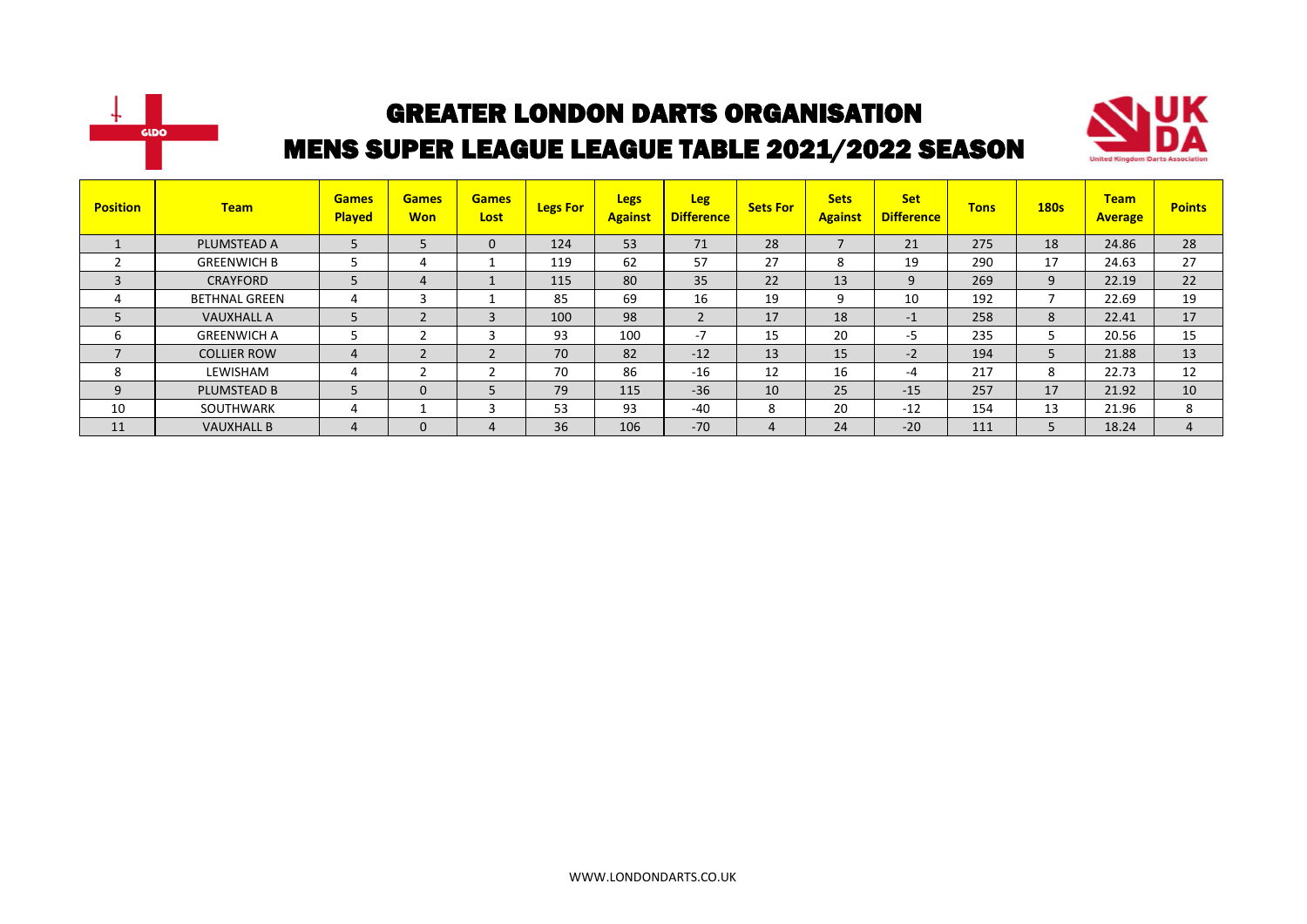



| <b>Position</b> | <b>Team</b>          | <b>Games</b><br><b>Played</b> | <b>Games</b><br><b>Won</b> | <b>Games</b><br>Lost | <b>Legs For</b> | <b>Legs</b><br><b>Against</b> | <b>Leg</b><br><b>Difference</b> | <b>Sets For</b> | <b>Sets</b><br><b>Against</b> | <b>Set</b><br><b>Difference</b> | <b>Tons</b> | <b>180s</b> | <b>Team</b><br><b>Average</b> | <b>Points</b>  |
|-----------------|----------------------|-------------------------------|----------------------------|----------------------|-----------------|-------------------------------|---------------------------------|-----------------|-------------------------------|---------------------------------|-------------|-------------|-------------------------------|----------------|
|                 | PLUMSTEAD A          |                               | 5                          | 0                    | 124             | 53                            | 71                              | 28              |                               | 21                              | 275         | 18          | 24.86                         | 28             |
|                 | <b>GREENWICH B</b>   |                               | 4                          |                      | 119             | 62                            | 57                              | 27              | 8                             | 19                              | 290         | 17          | 24.63                         | 27             |
| 3               | <b>CRAYFORD</b>      |                               | 4                          |                      | 115             | 80                            | 35                              | 22              | 13                            | 9                               | 269         | 9           | 22.19                         | 22             |
| 4               | <b>BETHNAL GREEN</b> |                               | 3                          |                      | 85              | 69                            | 16                              | 19              | q                             | 10                              | 192         |             | 22.69                         | 19             |
| 5               | <b>VAUXHALL A</b>    |                               | $\overline{2}$             | 3                    | 100             | 98                            | $\overline{2}$                  | 17              | 18                            | $-1$                            | 258         | 8           | 22.41                         | 17             |
| ь               | <b>GREENWICH A</b>   |                               | h                          |                      | 93              | 100                           | $-7$                            | 15              | 20                            | -5                              | 235         | ∍           | 20.56                         | 15             |
|                 | <b>COLLIER ROW</b>   |                               | $\overline{2}$             |                      | 70              | 82                            | $-12$                           | 13              | 15                            | $-2$                            | 194         | 5           | 21.88                         | 13             |
| 8               | LEWISHAM             |                               | $\mathbf{\hat{}}$          |                      | 70              | 86                            | $-16$                           | 12              | 16                            | -4                              | 217         | 8           | 22.73                         | 12             |
| 9               | <b>PLUMSTEAD B</b>   |                               | $\mathbf{0}$               |                      | 79              | 115                           | $-36$                           | 10              | 25                            | $-15$                           | 257         | 17          | 21.92                         | 10             |
| 10              | <b>SOUTHWARK</b>     |                               |                            |                      | 53              | 93                            | $-40$                           | 8               | 20                            | $-12$                           | 154         | 13          | 21.96                         | 8              |
| 11              | <b>VAUXHALL B</b>    |                               | $\mathbf 0$                | 4                    | 36              | 106                           | $-70$                           | 4               | 24                            | $-20$                           | 111         | 5           | 18.24                         | $\overline{a}$ |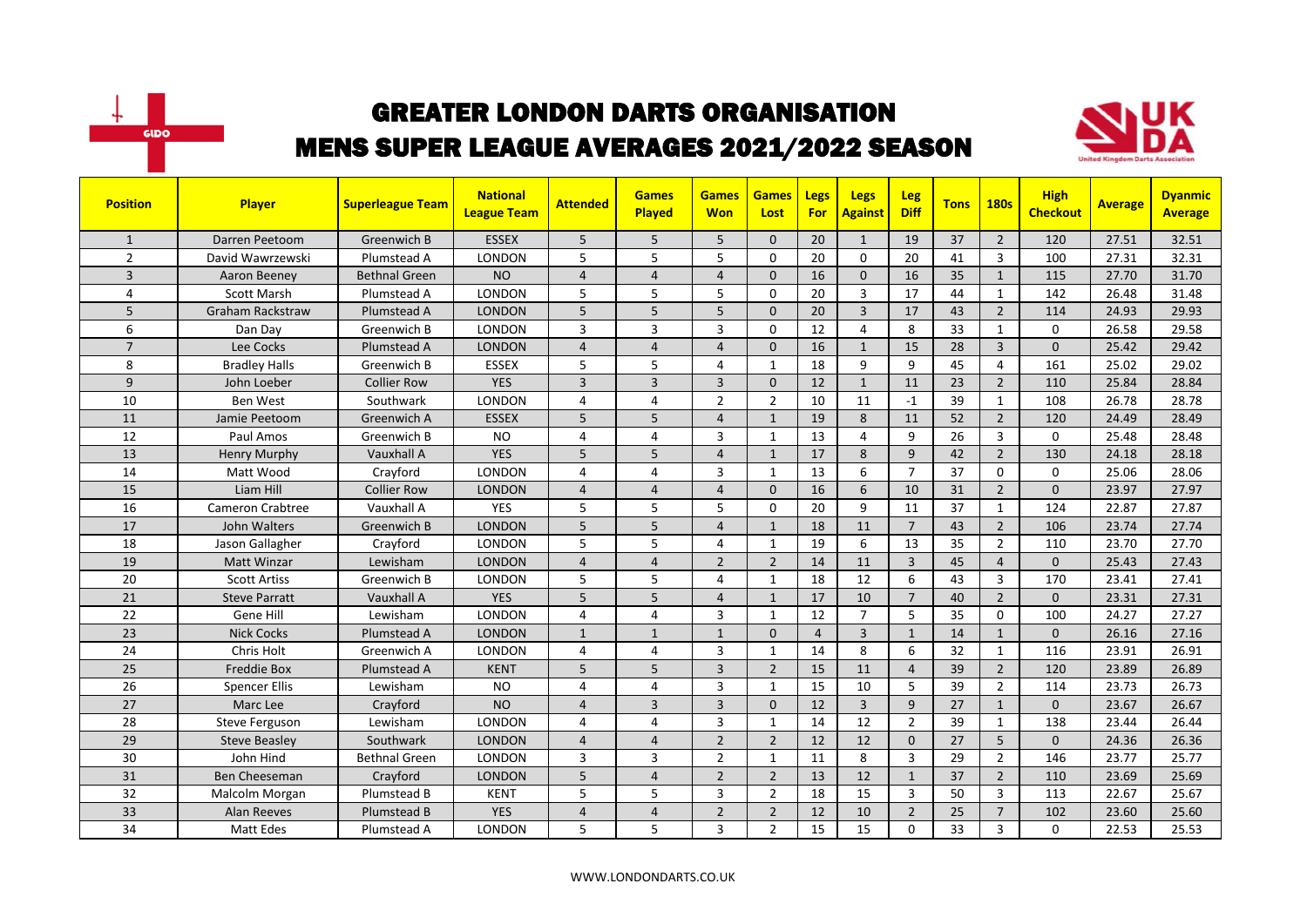



| <b>Position</b> | Player                  | <b>Superleague Team</b> | <b>National</b><br><b>League Team</b> | <b>Attended</b> | <b>Games</b><br><b>Played</b> | <b>Games</b><br><b>Won</b> | <b>Games</b><br>Lost | Legs<br><b>For</b> | <b>Legs</b><br><b>Against</b> | <b>Leg</b><br><b>Diff</b> | <b>Tons</b> | <b>180s</b>    | <b>High</b><br><b>Checkout</b> | <b>Average</b> | <b>Dyanmic</b><br><b>Average</b> |
|-----------------|-------------------------|-------------------------|---------------------------------------|-----------------|-------------------------------|----------------------------|----------------------|--------------------|-------------------------------|---------------------------|-------------|----------------|--------------------------------|----------------|----------------------------------|
| $\mathbf{1}$    | Darren Peetoom          | Greenwich B             | <b>ESSEX</b>                          | 5               | 5                             | 5                          | $\mathbf{0}$         | 20                 | $\mathbf{1}$                  | 19                        | 37          | $\overline{2}$ | 120                            | 27.51          | 32.51                            |
| $\overline{2}$  | David Wawrzewski        | Plumstead A             | <b>LONDON</b>                         | 5               | 5                             | 5                          | $\mathbf{0}$         | 20                 | $\Omega$                      | 20                        | 41          | 3              | 100                            | 27.31          | 32.31                            |
| 3               | Aaron Beeney            | Bethnal Green           | <b>NO</b>                             | $\overline{4}$  | $\overline{4}$                | $\overline{4}$             | $\mathbf{0}$         | 16                 | $\mathbf{0}$                  | 16                        | 35          | $\mathbf{1}$   | 115                            | 27.70          | 31.70                            |
| 4               | <b>Scott Marsh</b>      | Plumstead A             | LONDON                                | 5               | 5                             | 5                          | $\mathbf 0$          | 20                 | 3                             | 17                        | 44          | $\mathbf{1}$   | 142                            | 26.48          | 31.48                            |
| 5               | <b>Graham Rackstraw</b> | Plumstead A             | <b>LONDON</b>                         | 5               | 5                             | 5                          | $\Omega$             | 20                 | $\overline{3}$                | 17                        | 43          | $\overline{2}$ | 114                            | 24.93          | 29.93                            |
| 6               | Dan Day                 | Greenwich B             | <b>LONDON</b>                         | 3               | $\overline{3}$                | 3                          | $\mathbf{0}$         | 12                 | 4                             | 8                         | 33          | $\mathbf{1}$   | $\Omega$                       | 26.58          | 29.58                            |
| $\overline{7}$  | Lee Cocks               | Plumstead A             | <b>LONDON</b>                         | $\overline{4}$  | $\overline{4}$                | $\overline{4}$             | $\Omega$             | 16                 | $\mathbf{1}$                  | 15                        | 28          | $\overline{3}$ | $\Omega$                       | 25.42          | 29.42                            |
| 8               | <b>Bradley Halls</b>    | Greenwich B             | <b>ESSEX</b>                          | 5               | 5                             | 4                          | 1                    | 18                 | 9                             | 9                         | 45          | 4              | 161                            | 25.02          | 29.02                            |
| 9               | John Loeber             | <b>Collier Row</b>      | <b>YES</b>                            | 3               | $\overline{3}$                | 3                          | $\mathbf{0}$         | 12                 | $\mathbf{1}$                  | 11                        | 23          | $\overline{2}$ | 110                            | 25.84          | 28.84                            |
| 10              | <b>Ben West</b>         | Southwark               | <b>LONDON</b>                         | 4               | $\overline{4}$                | $\overline{2}$             | $\overline{2}$       | 10                 | 11                            | $-1$                      | 39          | $\mathbf{1}$   | 108                            | 26.78          | 28.78                            |
| 11              | Jamie Peetoom           | Greenwich A             | <b>ESSEX</b>                          | 5               | 5                             | $\overline{4}$             | $\mathbf{1}$         | 19                 | 8                             | 11                        | 52          | $\overline{2}$ | 120                            | 24.49          | 28.49                            |
| 12              | Paul Amos               | Greenwich B             | <b>NO</b>                             | 4               | $\overline{4}$                | 3                          | $\mathbf{1}$         | 13                 | 4                             | 9                         | 26          | $\overline{3}$ | $\Omega$                       | 25.48          | 28.48                            |
| 13              | Henry Murphy            | Vauxhall A              | <b>YES</b>                            | 5               | 5                             | $\overline{4}$             | $\mathbf{1}$         | 17                 | 8                             | 9                         | 42          | $\overline{2}$ | 130                            | 24.18          | 28.18                            |
| 14              | Matt Wood               | Crayford                | <b>LONDON</b>                         | 4               | $\overline{4}$                | 3                          | $\mathbf{1}$         | 13                 | 6                             | $\overline{7}$            | 37          | $\mathbf{0}$   | $\Omega$                       | 25.06          | 28.06                            |
| 15              | Liam Hill               | <b>Collier Row</b>      | <b>LONDON</b>                         | $\overline{a}$  | $\overline{4}$                | $\overline{4}$             | $\Omega$             | 16                 | 6                             | 10                        | 31          | $\overline{2}$ | $\Omega$                       | 23.97          | 27.97                            |
| 16              | <b>Cameron Crabtree</b> | Vauxhall A              | <b>YES</b>                            | 5               | 5                             | 5                          | $\Omega$             | 20                 | $\mathbf{q}$                  | 11                        | 37          | $\mathbf{1}$   | 124                            | 22.87          | 27.87                            |
| 17              | John Walters            | Greenwich B             | <b>LONDON</b>                         | 5               | 5                             | $\overline{4}$             | $\mathbf{1}$         | 18                 | 11                            | $\overline{7}$            | 43          | $\overline{2}$ | 106                            | 23.74          | 27.74                            |
| 18              | Jason Gallagher         | Crayford                | <b>LONDON</b>                         | 5               | 5                             | 4                          | $\mathbf{1}$         | 19                 | 6                             | 13                        | 35          | $\overline{2}$ | 110                            | 23.70          | 27.70                            |
| 19              | <b>Matt Winzar</b>      | Lewisham                | <b>LONDON</b>                         | $\overline{4}$  | $\overline{4}$                | $\overline{2}$             | $\overline{2}$       | 14                 | 11                            | $\overline{3}$            | 45          | $\overline{4}$ | $\Omega$                       | 25.43          | 27.43                            |
| 20              | <b>Scott Artiss</b>     | Greenwich B             | <b>LONDON</b>                         | 5               | 5                             | 4                          | $\mathbf{1}$         | 18                 | 12                            | 6                         | 43          | $\overline{3}$ | 170                            | 23.41          | 27.41                            |
| 21              | <b>Steve Parratt</b>    | Vauxhall A              | <b>YES</b>                            | 5               | 5                             | $\overline{4}$             | $\mathbf{1}$         | 17                 | 10                            | $\overline{7}$            | 40          | $\overline{2}$ | $\Omega$                       | 23.31          | 27.31                            |
| 22              | Gene Hill               | Lewisham                | <b>LONDON</b>                         | 4               | $\overline{4}$                | 3                          | $\mathbf{1}$         | 12                 | $\overline{7}$                | 5                         | 35          | $\mathbf 0$    | 100                            | 24.27          | 27.27                            |
| 23              | <b>Nick Cocks</b>       | Plumstead A             | <b>LONDON</b>                         | $\mathbf{1}$    | $\mathbf{1}$                  | $\mathbf{1}$               | $\mathbf{0}$         | $\overline{4}$     | 3                             | $\mathbf{1}$              | 14          | $\mathbf{1}$   | $\Omega$                       | 26.16          | 27.16                            |
| 24              | Chris Holt              | Greenwich A             | <b>LONDON</b>                         | 4               | $\overline{4}$                | 3                          | $\mathbf{1}$         | 14                 | 8                             | 6                         | 32          | $\mathbf{1}$   | 116                            | 23.91          | 26.91                            |
| 25              | <b>Freddie Box</b>      | Plumstead A             | <b>KENT</b>                           | 5               | 5                             | $\overline{3}$             | $\overline{2}$       | 15                 | 11                            | $\overline{4}$            | 39          | $\overline{2}$ | 120                            | 23.89          | 26.89                            |
| 26              | <b>Spencer Ellis</b>    | Lewisham                | <b>NO</b>                             | 4               | $\overline{4}$                | 3                          | $\mathbf{1}$         | 15                 | 10                            | 5                         | 39          | $\overline{2}$ | 114                            | 23.73          | 26.73                            |
| 27              | Marc Lee                | Crayford                | <b>NO</b>                             | 4               | $\overline{3}$                | 3                          | $\mathbf{0}$         | 12                 | 3                             | 9                         | 27          | $\mathbf{1}$   | 0                              | 23.67          | 26.67                            |
| 28              | Steve Ferguson          | Lewisham                | <b>LONDON</b>                         | 4               | $\overline{4}$                | 3                          | $\mathbf{1}$         | 14                 | 12                            | $\overline{2}$            | 39          | $\mathbf{1}$   | 138                            | 23.44          | 26.44                            |
| 29              | <b>Steve Beasley</b>    | Southwark               | <b>LONDON</b>                         | $\overline{4}$  | $\overline{4}$                | $\overline{2}$             | $\overline{2}$       | 12                 | 12                            | $\Omega$                  | 27          | 5              | $\Omega$                       | 24.36          | 26.36                            |
| 30              | John Hind               | <b>Bethnal Green</b>    | <b>LONDON</b>                         | 3               | $\overline{3}$                | $\overline{2}$             | $\mathbf{1}$         | 11                 | 8                             | 3                         | 29          | $\overline{2}$ | 146                            | 23.77          | 25.77                            |
| 31              | Ben Cheeseman           | Crayford                | <b>LONDON</b>                         | 5               | $\overline{4}$                | $\overline{2}$             | $\overline{2}$       | 13                 | 12                            | $\mathbf{1}$              | 37          | $\overline{2}$ | 110                            | 23.69          | 25.69                            |
| 32              | Malcolm Morgan          | Plumstead B             | <b>KENT</b>                           | 5               | 5                             | 3                          | $\overline{2}$       | 18                 | 15                            | 3                         | 50          | 3              | 113                            | 22.67          | 25.67                            |
| 33              | Alan Reeves             | Plumstead B             | <b>YES</b>                            | $\overline{4}$  | $\overline{4}$                | $\overline{2}$             | $\overline{2}$       | 12                 | 10                            | $\overline{2}$            | 25          | $\overline{7}$ | 102                            | 23.60          | 25.60                            |
| 34              | <b>Matt Edes</b>        | Plumstead A             | LONDON                                | 5               | 5                             | 3                          | $\overline{2}$       | 15                 | 15                            | $\Omega$                  | 33          | 3              | $\Omega$                       | 22.53          | 25.53                            |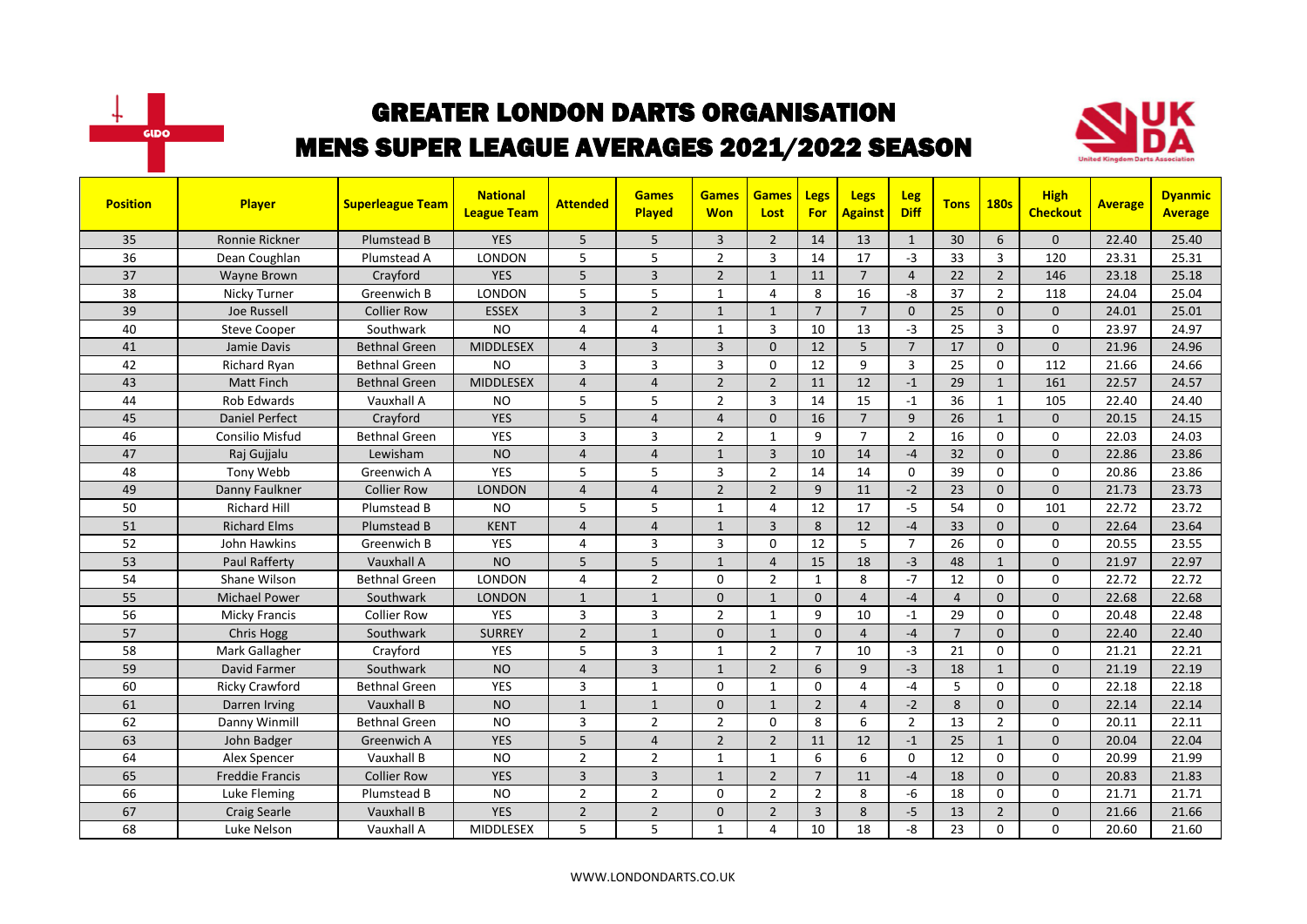



| <b>Position</b> | <b>Player</b>          | <b>Superleague Team</b> | <b>National</b><br><b>League Team</b> | <b>Attended</b> | <b>Games</b><br><b>Played</b> | <b>Games</b><br><b>Won</b> | <b>Games</b><br>Lost | Legs<br>For    | Legs<br><b>Against</b> | Leg<br><b>Diff</b> | <b>Tons</b>    | <b>180s</b>    | <b>High</b><br><b>Checkout</b> | <b>Average</b> | <b>Dyanmic</b><br><b>Average</b> |
|-----------------|------------------------|-------------------------|---------------------------------------|-----------------|-------------------------------|----------------------------|----------------------|----------------|------------------------|--------------------|----------------|----------------|--------------------------------|----------------|----------------------------------|
| 35              | Ronnie Rickner         | Plumstead B             | <b>YES</b>                            | 5               | 5                             | 3                          | $\overline{2}$       | 14             | 13                     | $\mathbf{1}$       | 30             | 6              | $\mathbf{0}$                   | 22.40          | 25.40                            |
| 36              | Dean Coughlan          | Plumstead A             | <b>LONDON</b>                         | 5               | 5                             | $\overline{2}$             | 3                    | 14             | 17                     | $-3$               | 33             | 3              | 120                            | 23.31          | 25.31                            |
| 37              | <b>Wayne Brown</b>     | Crayford                | <b>YES</b>                            | 5               | $\overline{3}$                | $\overline{2}$             | $\mathbf{1}$         | 11             | $\overline{7}$         | $\overline{4}$     | 22             | $\overline{2}$ | 146                            | 23.18          | 25.18                            |
| 38              | Nicky Turner           | Greenwich B             | LONDON                                | 5               | 5                             | 1                          | $\overline{4}$       | 8              | 16                     | -8                 | 37             | $\overline{2}$ | 118                            | 24.04          | 25.04                            |
| 39              | Joe Russell            | <b>Collier Row</b>      | <b>ESSEX</b>                          | $\overline{3}$  | $\overline{2}$                | $\mathbf{1}$               | $\mathbf{1}$         | $\overline{7}$ | $\overline{7}$         | $\Omega$           | 25             | $\Omega$       | $\Omega$                       | 24.01          | 25.01                            |
| 40              | <b>Steve Cooper</b>    | Southwark               | <b>NO</b>                             | 4               | $\overline{a}$                | 1                          | $\overline{3}$       | 10             | 13                     | $-3$               | 25             | $\overline{3}$ | $\Omega$                       | 23.97          | 24.97                            |
| 41              | Jamie Davis            | <b>Bethnal Green</b>    | <b>MIDDLESEX</b>                      | 4               | $\overline{3}$                | $\overline{3}$             | $\Omega$             | 12             | 5                      | $\overline{7}$     | 17             | $\Omega$       | $\Omega$                       | 21.96          | 24.96                            |
| 42              | <b>Richard Ryan</b>    | <b>Bethnal Green</b>    | <b>NO</b>                             | 3               | 3                             | 3                          | $\mathbf 0$          | 12             | 9                      | 3                  | 25             | $\mathbf 0$    | 112                            | 21.66          | 24.66                            |
| 43              | <b>Matt Finch</b>      | <b>Bethnal Green</b>    | <b>MIDDLESEX</b>                      | 4               | $\overline{a}$                | $\overline{2}$             | $\overline{2}$       | 11             | 12                     | $-1$               | 29             | $\mathbf{1}$   | 161                            | 22.57          | 24.57                            |
| 44              | Rob Edwards            | Vauxhall A              | <b>NO</b>                             | 5               | 5                             | $\overline{2}$             | 3                    | 14             | 15                     | $-1$               | 36             | $\mathbf{1}$   | 105                            | 22.40          | 24.40                            |
| 45              | <b>Daniel Perfect</b>  | Crayford                | <b>YES</b>                            | 5               | $\overline{a}$                | $\overline{4}$             | $\Omega$             | 16             | $\overline{7}$         | 9                  | 26             | $\mathbf{1}$   | $\Omega$                       | 20.15          | 24.15                            |
| 46              | <b>Consilio Misfud</b> | <b>Bethnal Green</b>    | <b>YES</b>                            | 3               | $\overline{3}$                | $\overline{2}$             | $\mathbf{1}$         | 9              | $\overline{7}$         | $\overline{2}$     | 16             | $\Omega$       | $\Omega$                       | 22.03          | 24.03                            |
| 47              | Raj Gujjalu            | Lewisham                | <b>NO</b>                             | $\overline{4}$  | $\overline{4}$                | $\mathbf{1}$               | 3                    | 10             | 14                     | $-4$               | 32             | $\mathbf{0}$   | $\mathbf{0}$                   | 22.86          | 23.86                            |
| 48              | Tony Webb              | Greenwich A             | <b>YES</b>                            | 5               | 5                             | 3                          | $\overline{2}$       | 14             | 14                     | $\Omega$           | 39             | $\Omega$       | 0                              | 20.86          | 23.86                            |
| 49              | Danny Faulkner         | <b>Collier Row</b>      | <b>LONDON</b>                         | $\overline{4}$  | $\overline{4}$                | $\overline{2}$             | $\overline{2}$       | 9              | 11                     | $-2$               | 23             | $\Omega$       | $\Omega$                       | 21.73          | 23.73                            |
| 50              | <b>Richard Hill</b>    | Plumstead B             | <b>NO</b>                             | 5               | 5                             | $\mathbf{1}$               | $\overline{4}$       | 12             | 17                     | $-5$               | 54             | $\Omega$       | 101                            | 22.72          | 23.72                            |
| 51              | <b>Richard Elms</b>    | Plumstead B             | <b>KENT</b>                           | 4               | $\overline{4}$                | $\mathbf{1}$               | $\overline{3}$       | 8              | 12                     | $-4$               | 33             | $\mathbf{0}$   | $\mathbf{0}$                   | 22.64          | 23.64                            |
| 52              | John Hawkins           | Greenwich B             | <b>YES</b>                            | 4               | 3                             | 3                          | $\mathbf 0$          | 12             | 5                      | $\overline{7}$     | 26             | $\mathbf 0$    | $\mathbf 0$                    | 20.55          | 23.55                            |
| 53              | Paul Rafferty          | Vauxhall A              | <b>NO</b>                             | 5               | 5                             | $\mathbf{1}$               | $\overline{a}$       | 15             | 18                     | $-3$               | 48             | $\mathbf{1}$   | $\Omega$                       | 21.97          | 22.97                            |
| 54              | Shane Wilson           | <b>Bethnal Green</b>    | <b>LONDON</b>                         | 4               | $\overline{2}$                | 0                          | $\overline{2}$       | $\mathbf{1}$   | 8                      | $-7$               | 12             | $\Omega$       | $\Omega$                       | 22.72          | 22.72                            |
| 55              | <b>Michael Power</b>   | Southwark               | <b>LONDON</b>                         | $\mathbf{1}$    | $\mathbf{1}$                  | $\Omega$                   | $\mathbf{1}$         | $\Omega$       | $\overline{4}$         | $-4$               | $\overline{4}$ | $\Omega$       | $\Omega$                       | 22.68          | 22.68                            |
| 56              | <b>Micky Francis</b>   | <b>Collier Row</b>      | <b>YES</b>                            | 3               | $\overline{3}$                | $\overline{2}$             | 1                    | 9              | 10                     | $-1$               | 29             | $\mathbf 0$    | $\mathbf 0$                    | 20.48          | 22.48                            |
| 57              | Chris Hogg             | Southwark               | <b>SURREY</b>                         | $\overline{2}$  | $\mathbf{1}$                  | 0                          | $\mathbf{1}$         | $\mathbf{0}$   | $\overline{4}$         | $-4$               | $\overline{7}$ | $\mathbf{0}$   | $\Omega$                       | 22.40          | 22.40                            |
| 58              | Mark Gallagher         | Crayford                | <b>YES</b>                            | 5               | 3                             | $\mathbf{1}$               | $\overline{2}$       | $\overline{7}$ | 10                     | $-3$               | 21             | $\Omega$       | $\Omega$                       | 21.21          | 22.21                            |
| 59              | David Farmer           | Southwark               | <b>NO</b>                             | 4               | $\overline{3}$                | $\mathbf{1}$               | $\overline{2}$       | 6              | 9                      | $-3$               | 18             | $\mathbf{1}$   | $\Omega$                       | 21.19          | 22.19                            |
| 60              | <b>Ricky Crawford</b>  | <b>Bethnal Green</b>    | <b>YES</b>                            | 3               | $\mathbf{1}$                  | 0                          | $\mathbf{1}$         | $\Omega$       | $\overline{4}$         | $-4$               | 5              | $\Omega$       | $\Omega$                       | 22.18          | 22.18                            |
| 61              | Darren Irving          | Vauxhall B              | <b>NO</b>                             | $\mathbf{1}$    | $\mathbf{1}$                  | 0                          | $\mathbf{1}$         | $\overline{2}$ | $\overline{4}$         | $-2$               | 8              | $\mathbf{0}$   | $\overline{0}$                 | 22.14          | 22.14                            |
| 62              | Danny Winmill          | <b>Bethnal Green</b>    | <b>NO</b>                             | 3               | $\overline{2}$                | $\overline{2}$             | $\Omega$             | 8              | 6                      | $\overline{2}$     | 13             | $\overline{2}$ | 0                              | 20.11          | 22.11                            |
| 63              | John Badger            | Greenwich A             | <b>YES</b>                            | 5               | $\overline{4}$                | $\overline{2}$             | $\overline{2}$       | 11             | 12                     | $-1$               | 25             | $\mathbf{1}$   | $\mathbf{0}$                   | 20.04          | 22.04                            |
| 64              | Alex Spencer           | Vauxhall B              | <b>NO</b>                             | $\overline{2}$  | $\overline{2}$                | $\mathbf{1}$               | $\mathbf{1}$         | 6              | 6                      | $\Omega$           | 12             | $\Omega$       | $\Omega$                       | 20.99          | 21.99                            |
| 65              | <b>Freddie Francis</b> | <b>Collier Row</b>      | <b>YES</b>                            | $\overline{3}$  | $\overline{3}$                | $\mathbf{1}$               | $\overline{2}$       | $\overline{7}$ | 11                     | $-4$               | 18             | $\Omega$       | $\Omega$                       | 20.83          | 21.83                            |
| 66              | Luke Fleming           | Plumstead B             | <b>NO</b>                             | $\overline{2}$  | $\overline{2}$                | 0                          | $\overline{2}$       | $\overline{2}$ | 8                      | -6                 | 18             | 0              | $\mathbf 0$                    | 21.71          | 21.71                            |
| 67              | <b>Craig Searle</b>    | Vauxhall B              | <b>YES</b>                            | $\overline{2}$  | $\overline{2}$                | 0                          | $\overline{2}$       | 3              | 8                      | $-5$               | 13             | $\overline{2}$ | $\mathbf{0}$                   | 21.66          | 21.66                            |
| 68              | Luke Nelson            | Vauxhall A              | <b>MIDDLESEX</b>                      | 5               | 5                             | 1                          | $\overline{4}$       | 10             | 18                     | -8                 | 23             | $\Omega$       | 0                              | 20.60          | 21.60                            |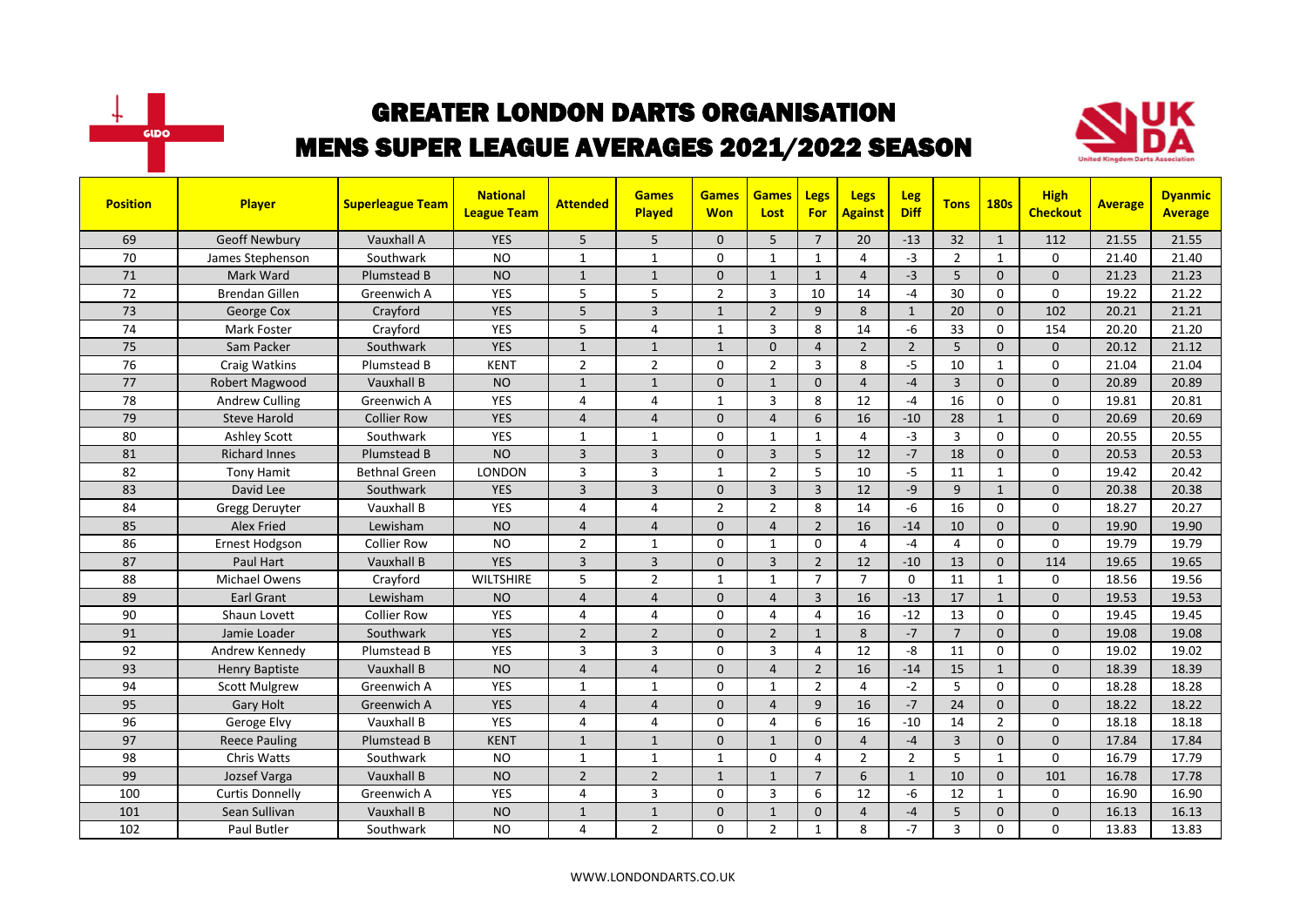



| <b>Position</b> | <b>Player</b>          | <b>Superleague Team</b> | <b>National</b><br><b>League Team</b> | <b>Attended</b> | <b>Games</b><br>Played | <b>Games</b><br><b>Won</b> | <b>Games</b><br>Lost | Legs<br><b>For</b> | <b>Legs</b><br><b>Against</b> | <b>Leg</b><br><b>Diff</b> | <b>Tons</b>    | <b>180s</b>    | <b>High</b><br><b>Checkout</b> | <b>Average</b> | <b>Dyanmic</b><br><b>Average</b> |
|-----------------|------------------------|-------------------------|---------------------------------------|-----------------|------------------------|----------------------------|----------------------|--------------------|-------------------------------|---------------------------|----------------|----------------|--------------------------------|----------------|----------------------------------|
| 69              | <b>Geoff Newbury</b>   | Vauxhall A              | <b>YES</b>                            | 5               | 5                      | $\mathbf{0}$               | 5                    | $\overline{7}$     | 20                            | $-13$                     | 32             | $\mathbf{1}$   | 112                            | 21.55          | 21.55                            |
| 70              | James Stephenson       | Southwark               | <b>NO</b>                             | $\mathbf{1}$    | $\mathbf{1}$           | 0                          | 1                    | $\mathbf{1}$       | $\overline{4}$                | $-3$                      | $\overline{2}$ | $\mathbf{1}$   | 0                              | 21.40          | 21.40                            |
| 71              | Mark Ward              | <b>Plumstead B</b>      | <b>NO</b>                             | $\mathbf{1}$    | $\mathbf{1}$           | $\Omega$                   | $\mathbf{1}$         | $\mathbf{1}$       | $\overline{4}$                | $-3$                      | 5              | $\Omega$       | $\mathbf{0}$                   | 21.23          | 21.23                            |
| 72              | <b>Brendan Gillen</b>  | Greenwich A             | YES                                   | 5               | 5                      | $\overline{2}$             | 3                    | 10                 | 14                            | $-4$                      | 30             | 0              | 0                              | 19.22          | 21.22                            |
| 73              | George Cox             | Crayford                | <b>YES</b>                            | 5               | $\overline{3}$         | $\mathbf{1}$               | $\overline{2}$       | 9                  | 8                             | $\mathbf{1}$              | 20             | $\Omega$       | 102                            | 20.21          | 21.21                            |
| 74              | Mark Foster            | Crayford                | <b>YES</b>                            | 5               | $\overline{4}$         | $\mathbf{1}$               | 3                    | 8                  | 14                            | $-6$                      | 33             | $\mathbf 0$    | 154                            | 20.20          | 21.20                            |
| 75              | Sam Packer             | Southwark               | <b>YES</b>                            | $\mathbf{1}$    | $\mathbf{1}$           | $\mathbf{1}$               | $\Omega$             | $\overline{4}$     | $\overline{2}$                | $\overline{2}$            | 5              | $\Omega$       | $\mathbf{0}$                   | 20.12          | 21.12                            |
| 76              | Craig Watkins          | Plumstead B             | <b>KENT</b>                           | $\overline{2}$  | $\overline{2}$         | 0                          | $\overline{2}$       | $\overline{3}$     | 8                             | $-5$                      | 10             | $\mathbf{1}$   | 0                              | 21.04          | 21.04                            |
| 77              | Robert Magwood         | Vauxhall B              | <b>NO</b>                             | $\mathbf{1}$    | $\mathbf{1}$           | $\mathbf{0}$               | $\mathbf{1}$         | $\mathbf{0}$       | $\overline{4}$                | $-4$                      | $\overline{3}$ | $\mathbf{0}$   | $\mathbf{0}$                   | 20.89          | 20.89                            |
| 78              | <b>Andrew Culling</b>  | Greenwich A             | YES                                   | 4               | $\overline{4}$         | 1                          | 3                    | 8                  | 12                            | $-4$                      | 16             | 0              | 0                              | 19.81          | 20.81                            |
| 79              | <b>Steve Harold</b>    | <b>Collier Row</b>      | <b>YES</b>                            | $\overline{4}$  | $\overline{4}$         | $\mathbf{0}$               | $\overline{4}$       | 6                  | 16                            | $-10$                     | 28             | $\mathbf{1}$   | $\mathbf{0}$                   | 20.69          | 20.69                            |
| 80              | <b>Ashley Scott</b>    | Southwark               | <b>YES</b>                            | $\mathbf{1}$    | $\overline{1}$         | $\Omega$                   | $\mathbf{1}$         | $\mathbf{1}$       | $\overline{4}$                | $-3$                      | $\overline{3}$ | $\Omega$       | 0                              | 20.55          | 20.55                            |
| 81              | <b>Richard Innes</b>   | Plumstead B             | <b>NO</b>                             | $\overline{3}$  | $\overline{3}$         | $\Omega$                   | $\overline{3}$       | $\overline{5}$     | 12                            | $-7$                      | 18             | $\Omega$       | $\Omega$                       | 20.53          | 20.53                            |
| 82              | <b>Tony Hamit</b>      | <b>Bethnal Green</b>    | <b>LONDON</b>                         | 3               | $\overline{3}$         | $\mathbf{1}$               | $\overline{2}$       | 5                  | 10                            | $-5$                      | 11             | $\mathbf{1}$   | 0                              | 19.42          | 20.42                            |
| 83              | David Lee              | Southwark               | <b>YES</b>                            | $\overline{3}$  | $\overline{3}$         | $\mathbf{0}$               | $\overline{3}$       | $\overline{3}$     | 12                            | $-9$                      | 9              | $\mathbf{1}$   | 0                              | 20.38          | 20.38                            |
| 84              | Gregg Deruyter         | Vauxhall B              | <b>YES</b>                            | 4               | $\overline{4}$         | $\overline{2}$             | $\overline{2}$       | 8                  | 14                            | $-6$                      | 16             | $\mathbf 0$    | 0                              | 18.27          | 20.27                            |
| 85              | <b>Alex Fried</b>      | Lewisham                | <b>NO</b>                             | $\overline{4}$  | $\overline{a}$         | $\Omega$                   | $\overline{4}$       | $\overline{2}$     | 16                            | $-14$                     | 10             | $\mathbf{0}$   | $\overline{0}$                 | 19.90          | 19.90                            |
| 86              | <b>Ernest Hodgson</b>  | <b>Collier Row</b>      | <b>NO</b>                             | $\overline{2}$  | 1                      | 0                          | 1                    | $\Omega$           | 4                             | $-4$                      | 4              | $\Omega$       | $\Omega$                       | 19.79          | 19.79                            |
| 87              | Paul Hart              | Vauxhall B              | <b>YES</b>                            | $\overline{3}$  | $\overline{3}$         | $\Omega$                   | $\overline{3}$       | $\overline{2}$     | 12                            | $-10$                     | 13             | $\mathbf 0$    | 114                            | 19.65          | 19.65                            |
| 88              | Michael Owens          | Crayford                | <b>WILTSHIRE</b>                      | 5               | $\overline{2}$         | $\mathbf{1}$               | $\mathbf{1}$         | $\overline{7}$     | $\overline{7}$                | $\mathbf 0$               | 11             | $\mathbf{1}$   | 0                              | 18.56          | 19.56                            |
| 89              | Earl Grant             | Lewisham                | <b>NO</b>                             | $\overline{4}$  | $\overline{4}$         | $\mathbf{0}$               | $\overline{4}$       | $\overline{3}$     | 16                            | $-13$                     | 17             | $\mathbf{1}$   | $\mathbf{0}$                   | 19.53          | 19.53                            |
| 90              | Shaun Lovett           | <b>Collier Row</b>      | <b>YES</b>                            | 4               | 4                      | 0                          | 4                    | 4                  | 16                            | $-12$                     | 13             | $\mathbf 0$    | 0                              | 19.45          | 19.45                            |
| 91              | Jamie Loader           | Southwark               | <b>YES</b>                            | $\overline{2}$  | $\overline{2}$         | $\mathbf{0}$               | $\overline{2}$       | $\mathbf{1}$       | 8                             | $-7$                      | $\overline{7}$ | $\mathbf{0}$   | $\mathbf{0}$                   | 19.08          | 19.08                            |
| 92              | Andrew Kennedy         | Plumstead B             | <b>YES</b>                            | 3               | 3                      | 0                          | 3                    | 4                  | 12                            | -8                        | 11             | $\Omega$       | 0                              | 19.02          | 19.02                            |
| 93              | <b>Henry Baptiste</b>  | Vauxhall B              | <b>NO</b>                             | $\overline{4}$  | $\overline{4}$         | $\Omega$                   | $\overline{4}$       | $\overline{2}$     | 16                            | $-14$                     | 15             | $\mathbf{1}$   | $\Omega$                       | 18.39          | 18.39                            |
| 94              | <b>Scott Mulgrew</b>   | Greenwich A             | <b>YES</b>                            | $\mathbf{1}$    | 1                      | 0                          | 1                    | $\overline{2}$     | 4                             | $-2$                      | 5              | $\mathbf 0$    | 0                              | 18.28          | 18.28                            |
| 95              | <b>Gary Holt</b>       | Greenwich A             | <b>YES</b>                            | $\overline{4}$  | $\overline{4}$         | $\mathbf{0}$               | $\overline{4}$       | 9                  | 16                            | $-7$                      | 24             | $\mathbf{0}$   | $\mathbf{0}$                   | 18.22          | 18.22                            |
| 96              | Geroge Elvy            | Vauxhall B              | <b>YES</b>                            | 4               | 4                      | 0                          | $\overline{4}$       | 6                  | 16                            | $-10$                     | 14             | $\overline{2}$ | 0                              | 18.18          | 18.18                            |
| 97              | <b>Reece Pauling</b>   | <b>Plumstead B</b>      | <b>KENT</b>                           | $\mathbf{1}$    | $\mathbf{1}$           | $\mathbf{0}$               | $\mathbf{1}$         | $\mathbf{0}$       | $\overline{4}$                | $-4$                      | 3              | $\mathbf{0}$   | $\mathbf{0}$                   | 17.84          | 17.84                            |
| 98              | <b>Chris Watts</b>     | Southwark               | <b>NO</b>                             | $\mathbf{1}$    | $\mathbf{1}$           | $\mathbf{1}$               | $\mathbf{0}$         | 4                  | $\overline{2}$                | $\overline{2}$            | 5              | $\mathbf{1}$   | 0                              | 16.79          | 17.79                            |
| 99              | Jozsef Varga           | Vauxhall B              | <b>NO</b>                             | $\overline{2}$  | $\overline{2}$         | $\mathbf{1}$               | $\mathbf{1}$         | $\overline{7}$     | 6                             | $\mathbf{1}$              | 10             | $\mathbf{0}$   | 101                            | 16.78          | 17.78                            |
| 100             | <b>Curtis Donnelly</b> | Greenwich A             | <b>YES</b>                            | 4               | 3                      | 0                          | 3                    | 6                  | 12                            | $-6$                      | 12             | $\mathbf{1}$   | 0                              | 16.90          | 16.90                            |
| 101             | Sean Sullivan          | Vauxhall B              | <b>NO</b>                             | $\mathbf{1}$    | $\mathbf{1}$           | $\Omega$                   | $\mathbf{1}$         | $\Omega$           | $\Delta$                      | $-4$                      | 5              | $\Omega$       | $\mathbf{0}$                   | 16.13          | 16.13                            |
| 102             | Paul Butler            | Southwark               | <b>NO</b>                             | 4               | $\overline{2}$         | $\Omega$                   | $\overline{2}$       | $\mathbf{1}$       | 8                             | $-7$                      | 3              | $\Omega$       | 0                              | 13.83          | 13.83                            |